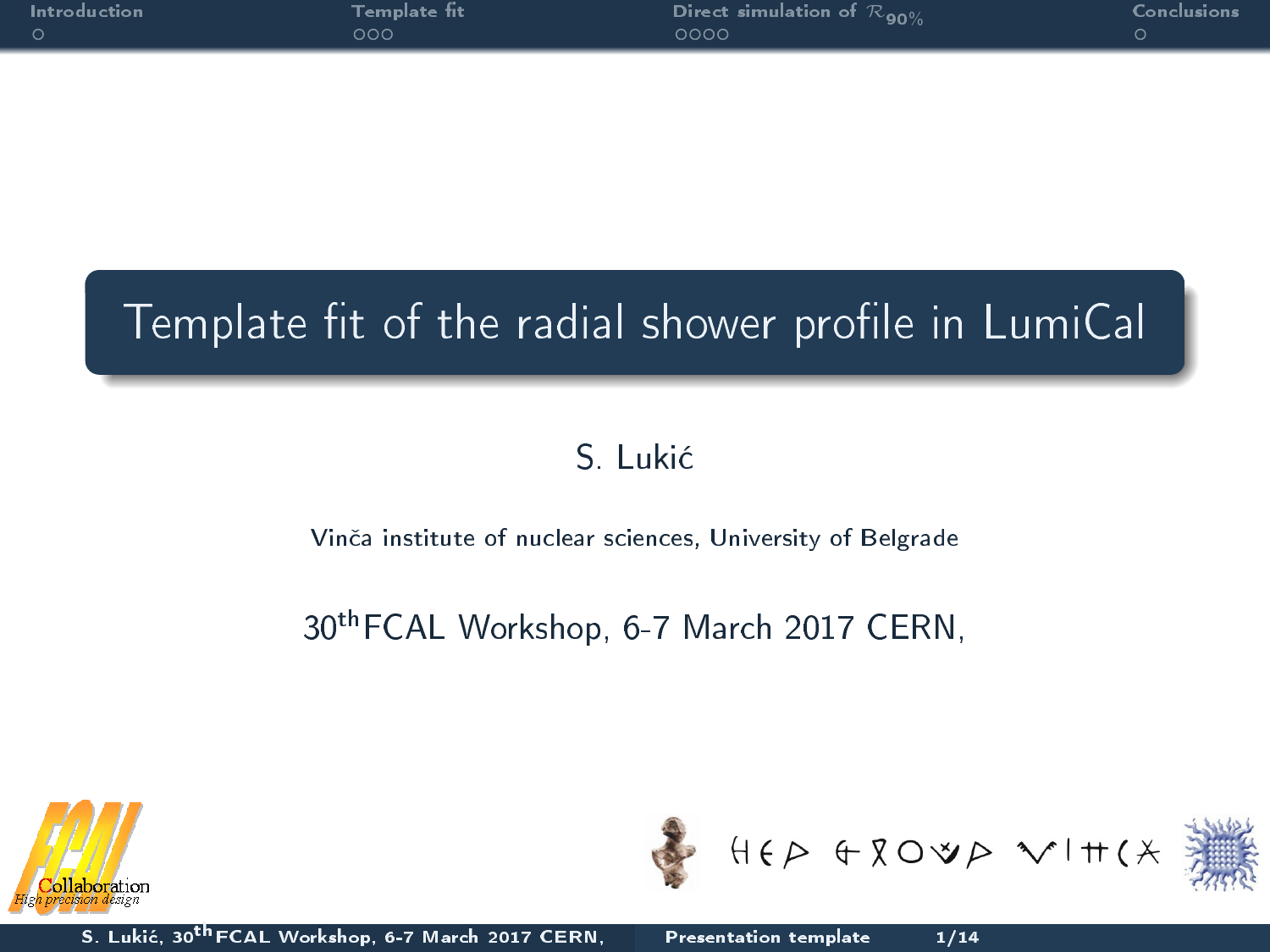| $\blacksquare$ Introduction | Template fit | Direct simulation of $\mathcal{R}_{90\%}$ | Conclusions |
|-----------------------------|--------------|-------------------------------------------|-------------|
|                             | ∩∩ר          | 0000                                      |             |
|                             |              |                                           |             |

### Template fit of the radial shower profile in LumiCal

### S. Luki¢

#### Vin£a institute of nuclear sciences, University of Belgrade

### 30thFCAL Workshop, 6-7 March 2017 CERN,



<span id="page-0-0"></span>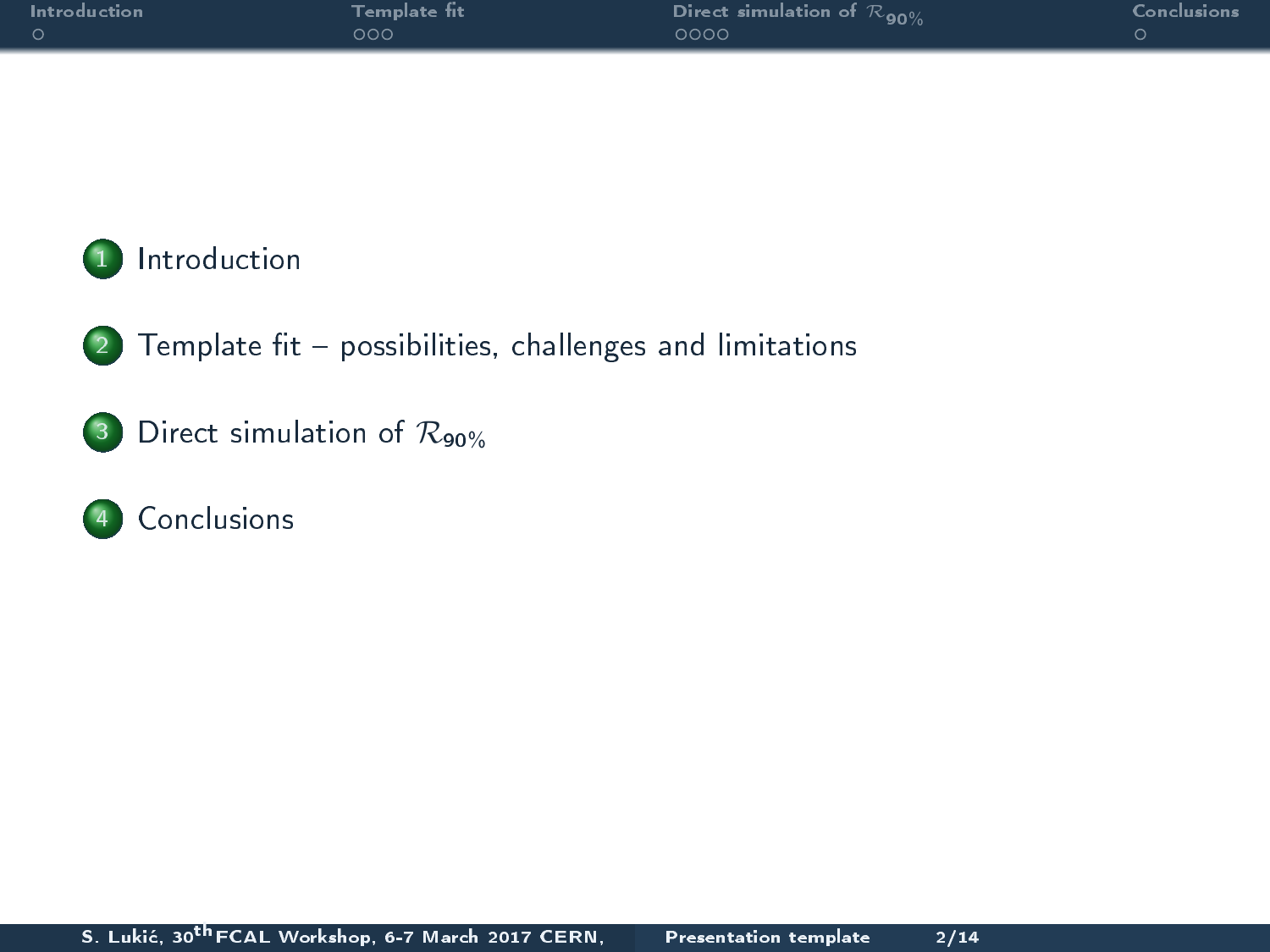| Introduction | Template fit | Direct simulation of $\mathcal{R}_{90\%}$ | Conclusions |
|--------------|--------------|-------------------------------------------|-------------|
|              | 000          | ೦೦೦೦                                      |             |
|              |              |                                           |             |



 $(2)$  Template fit - possibilities, challenges and limitations

3 [Direct simulation of](#page-11-0)  $\mathcal{R}_{90\%}$ 

### 4 [Conclusions](#page-16-0)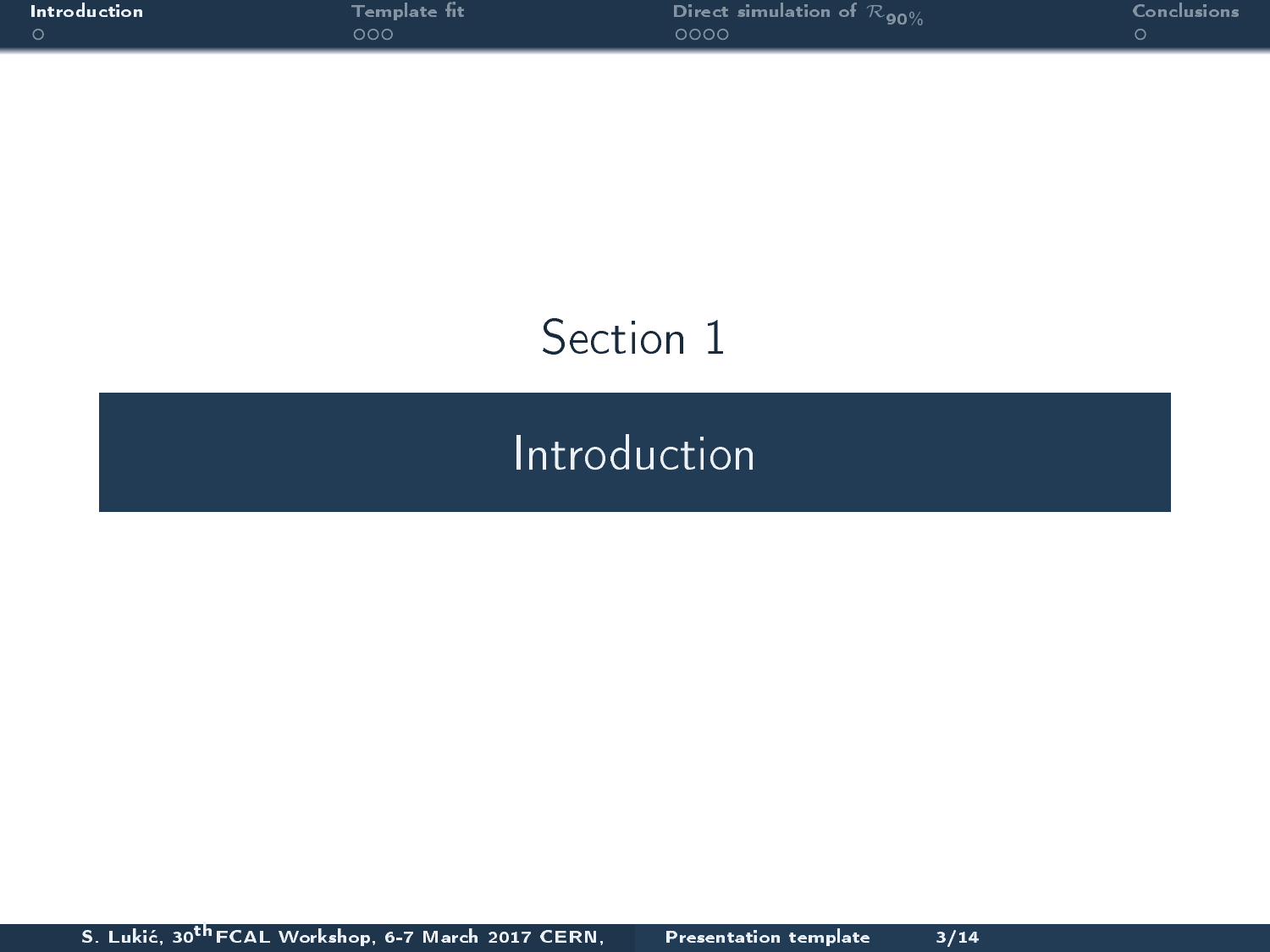|        | <b>Introduction</b> |  |
|--------|---------------------|--|
| $\cap$ |                     |  |

# Section 1

## <span id="page-2-0"></span>[Introduction](#page-2-0)

S. Lukić, 30<sup>th</sup> FCAL Workshop, 6-7 March 2017 CERN, [Presentation template 3/14](#page-0-0)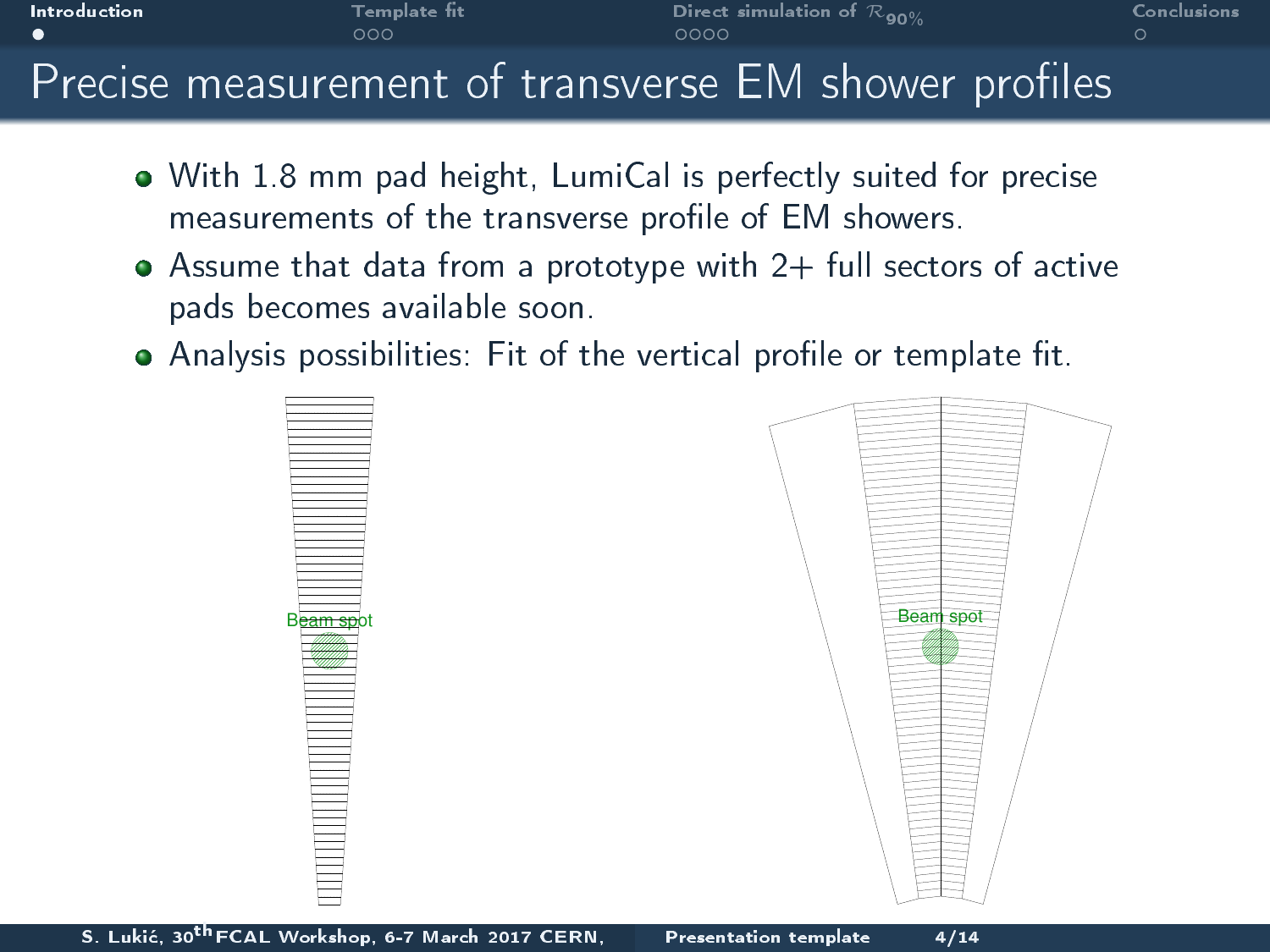

- With 1.8 mm pad height, LumiCal is perfectly suited for precise measurements of the transverse profile of EM showers.
- $\bullet$  Assume that data from a prototype with 2+ full sectors of active pads becomes available soon.
- $\bullet$  Analysis possibilities: Fit of the vertical profile or template fit.



<span id="page-3-0"></span>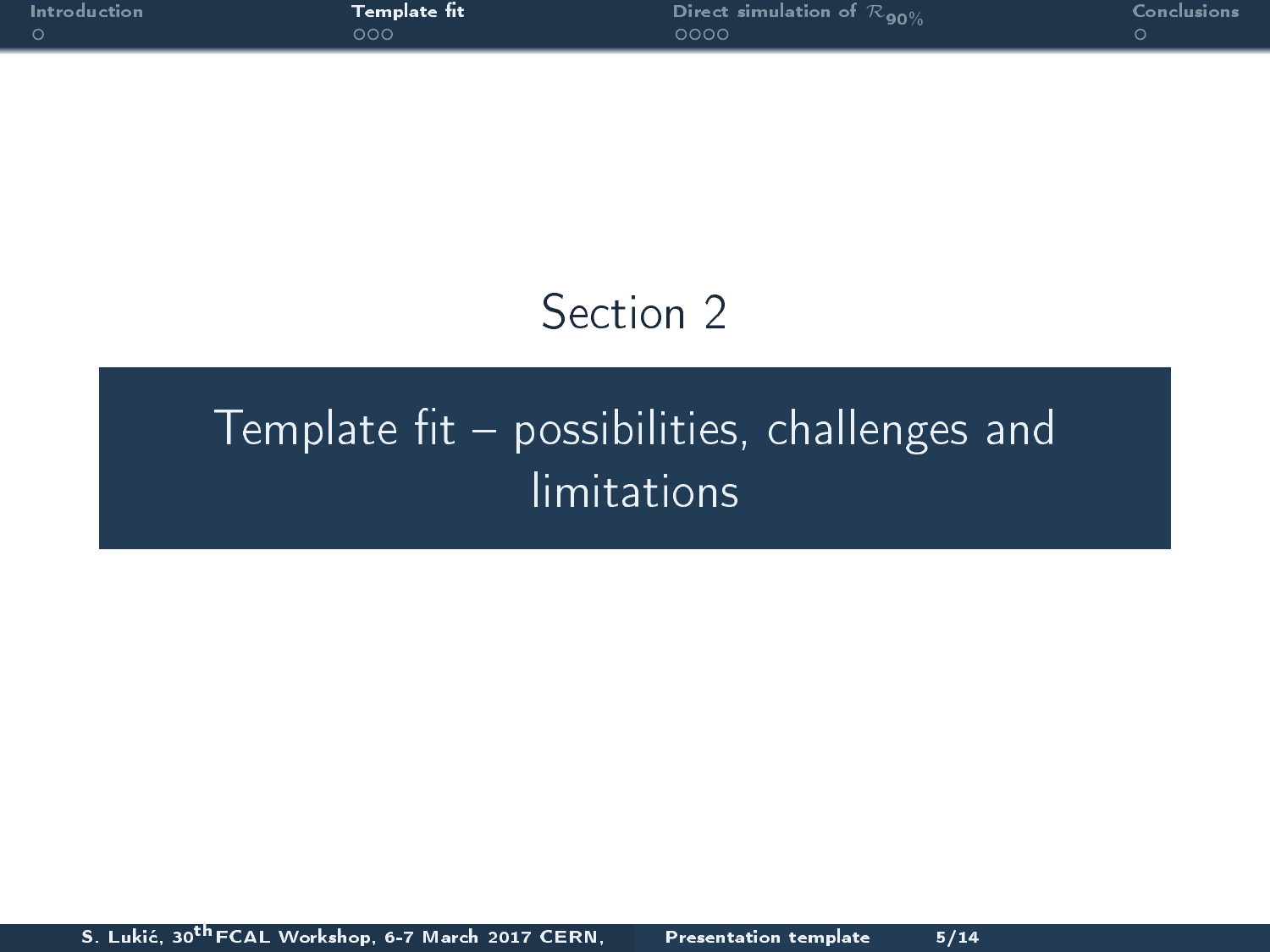|   | Intro du ction |  |  |
|---|----------------|--|--|
| റ |                |  |  |

## <span id="page-4-0"></span>Section 2

# Template fit  $-$  possibilities, challenges and [limitations](#page-4-0)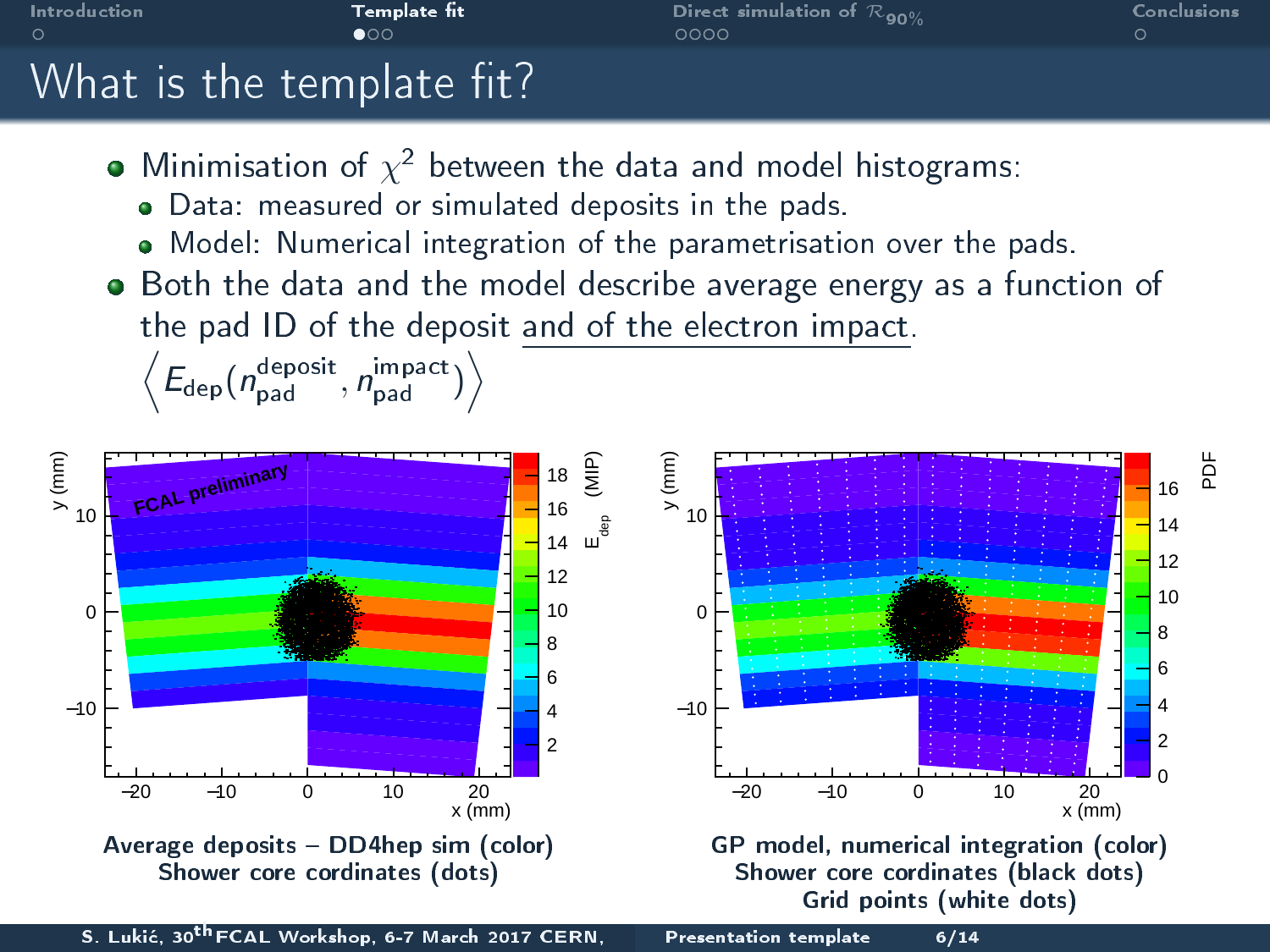



<span id="page-5-0"></span>S. Lukić, 30<sup>th</sup> FCAL Workshop, 6-7 March 2017 CERN, [Presentation template 6/14](#page-0-0)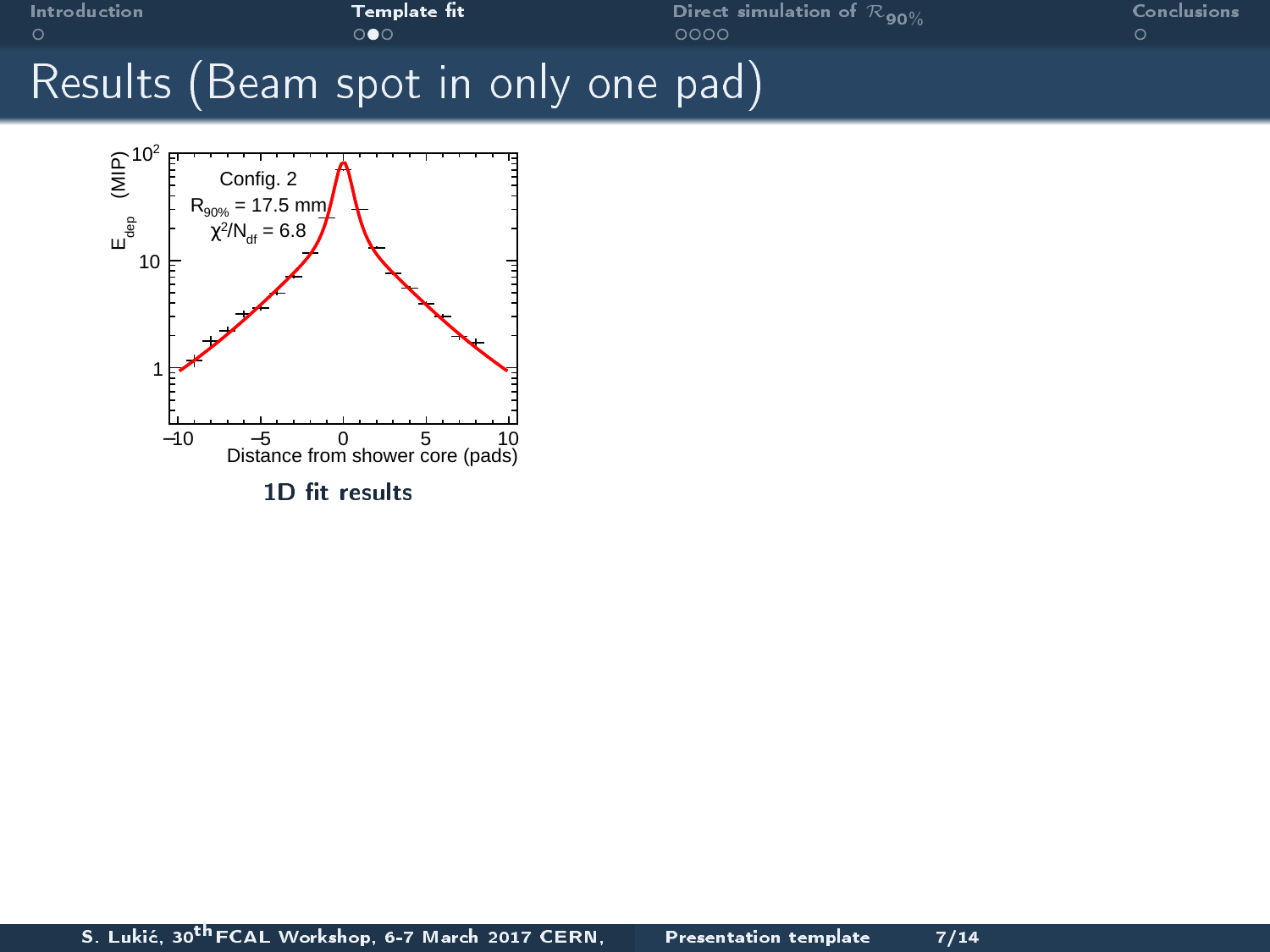

<span id="page-6-0"></span>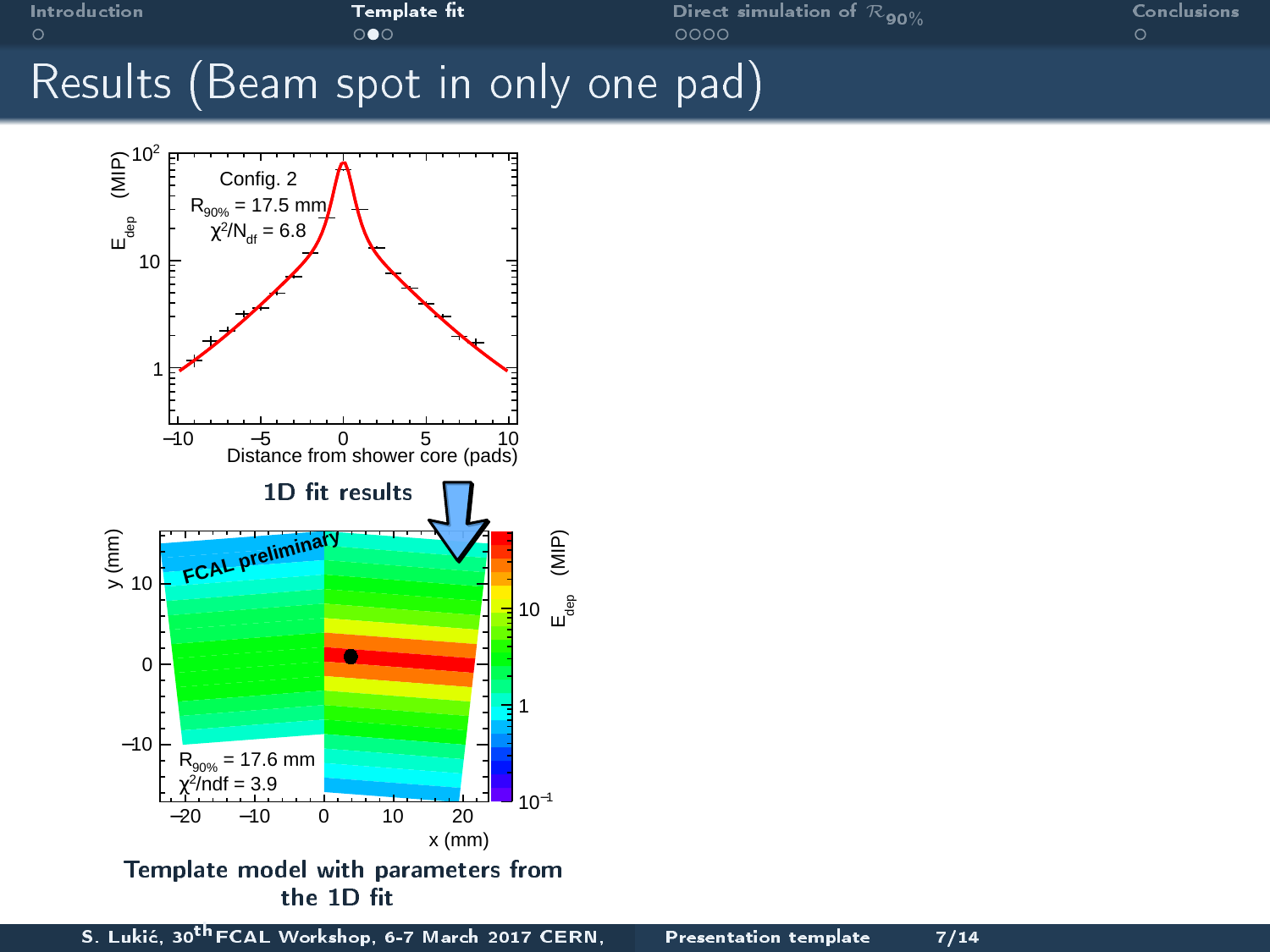

<span id="page-7-0"></span>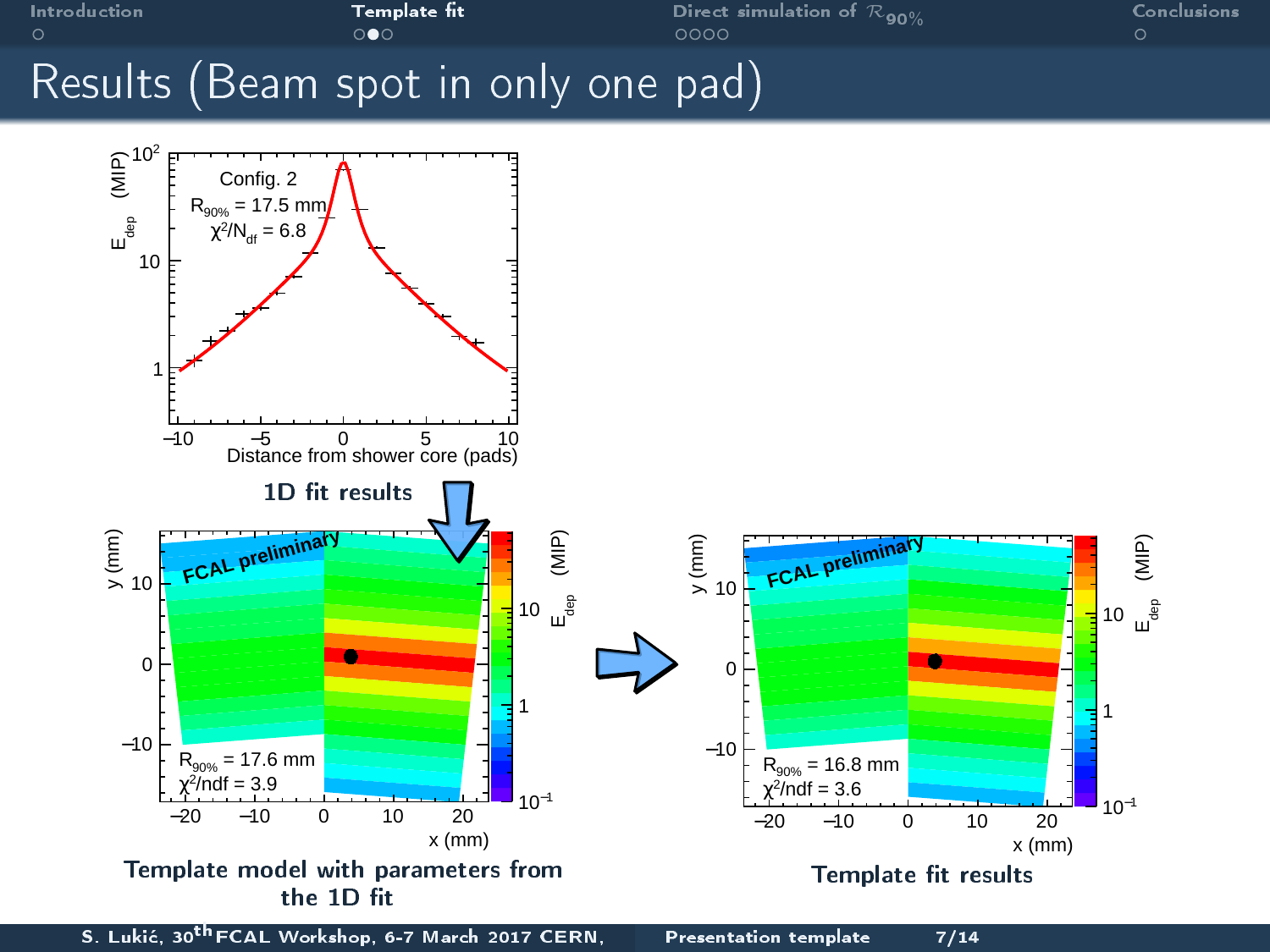

<span id="page-8-0"></span>S. Lukić, 30<sup>th</sup> FCAL Workshop, 6-7 March 2017 CERN, [Presentation template 7/14](#page-0-0)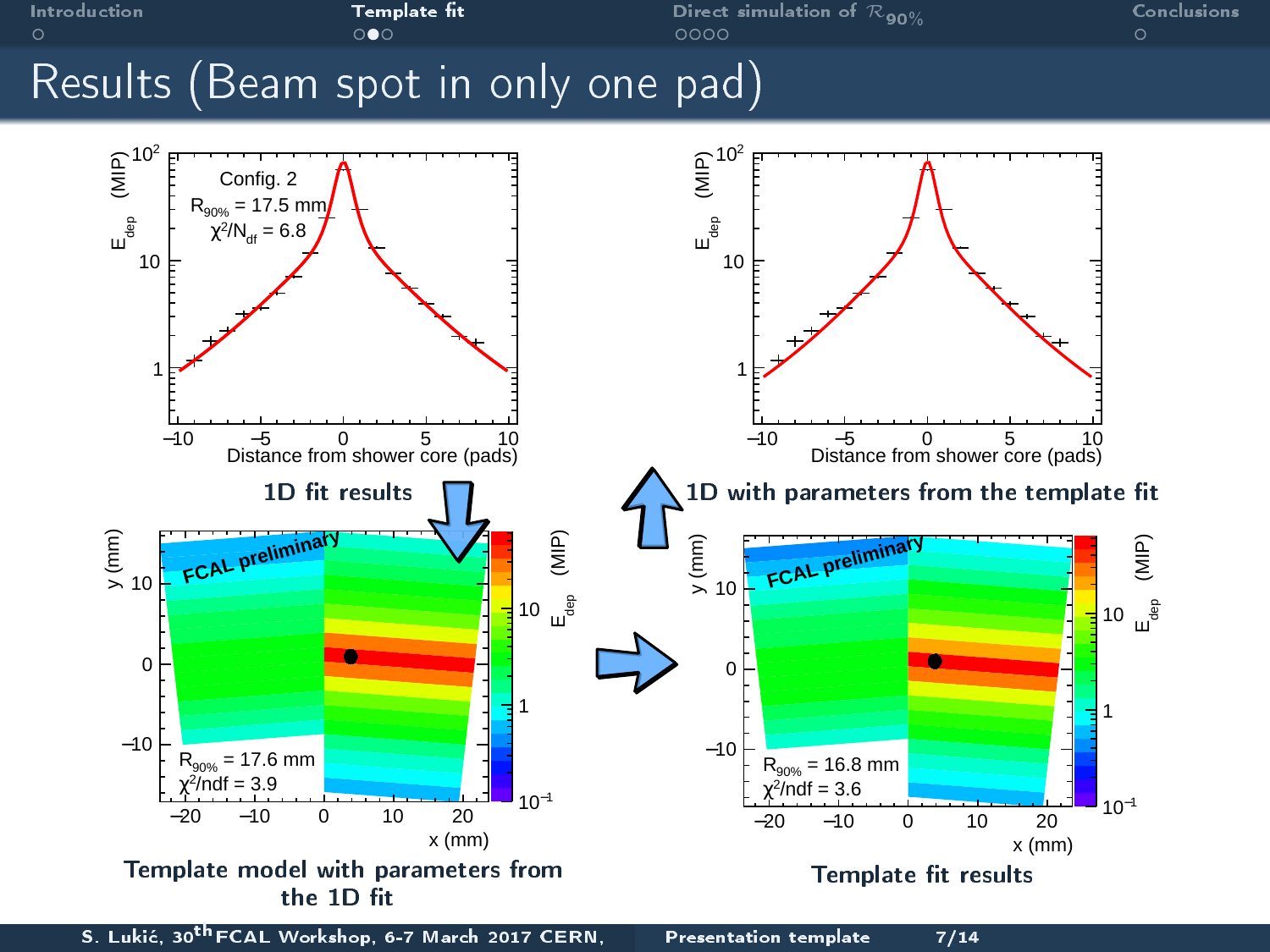

<span id="page-9-0"></span>S. Lukić, 30<sup>th</sup> FCAL Workshop, 6-7 March 2017 CERN, [Presentation template 7/14](#page-0-0)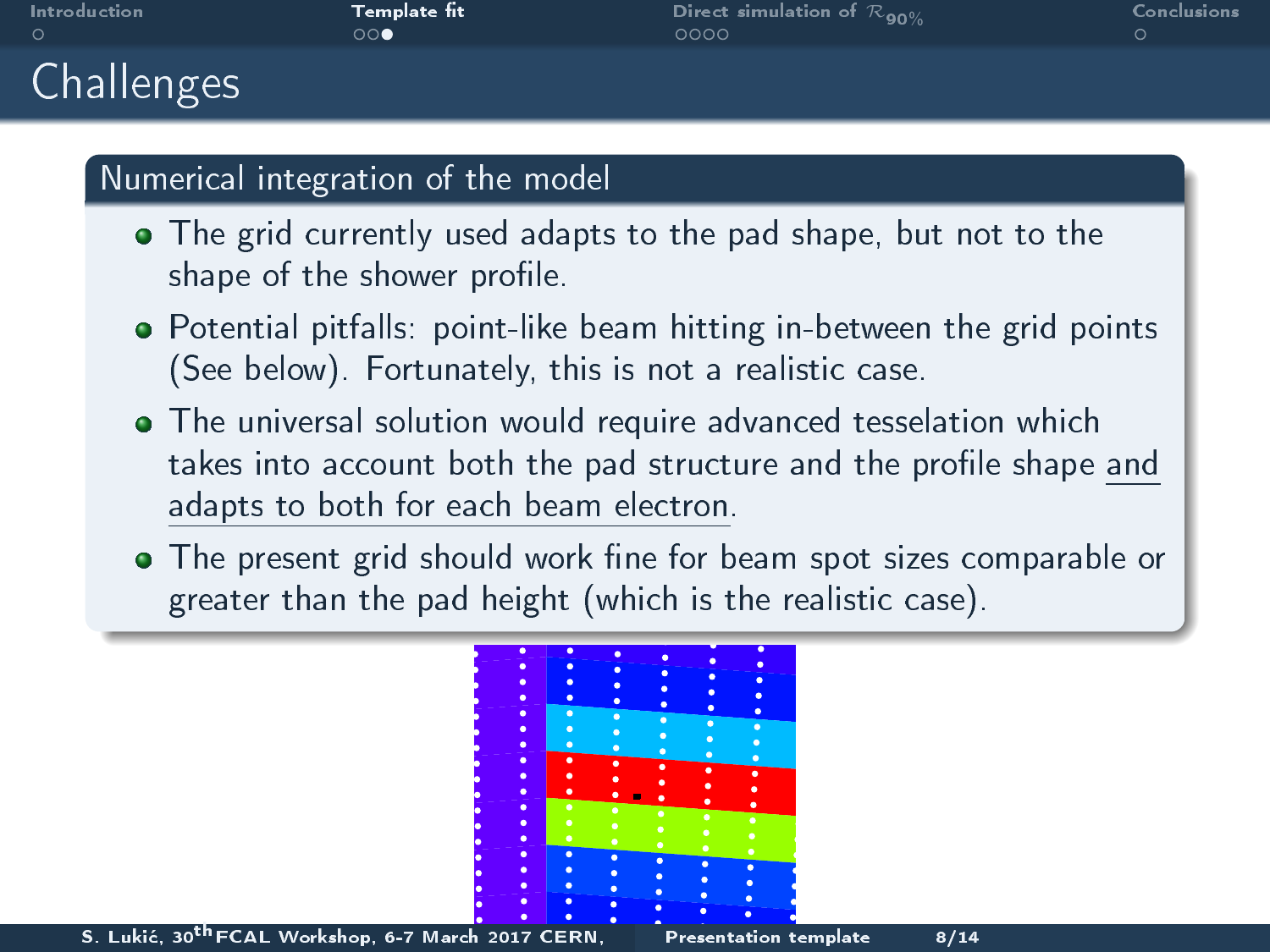|   | Introduction |
|---|--------------|
| O |              |

**[Challenges](#page-10-0)** 

**Template fit**  $\begin{array}{ccc} \textbf{Template} & \textbf{Set} & \textbf{I} \\ \textbf{1} & \textbf{1} & \textbf{1} \\ \textbf{1} & \textbf{1} & \textbf{1} \\ \textbf{1} & \textbf{1} & \textbf{1} \\ \textbf{1} & \textbf{1} & \textbf{1} \\ \textbf{1} & \textbf{1} & \textbf{1} \\ \textbf{1} & \textbf{1} & \textbf{1} \\ \textbf{1} & \textbf{1} & \textbf{1} \\ \textbf{1} & \textbf{1} & \textbf{1} \\ \textbf{1} & \text$ 

#### Numerical integration of the model

- The grid currently used adapts to the pad shape, but not to the shape of the shower profile.
- Potential pitfalls: point-like beam hitting in-between the grid points (See below). Fortunately, this is not a realistic case.
- The universal solution would require advanced tesselation which takes into account both the pad structure and the profile shape and adapts to both for each beam electron.
- The present grid should work fine for beam spot sizes comparable or greater than the pad height (which is the realistic case).



S. Lukić, 30<sup>th</sup> FCAL Workshop, 6-7 March 2017 CERN, [Presentation template 8/14](#page-0-0)

<span id="page-10-0"></span>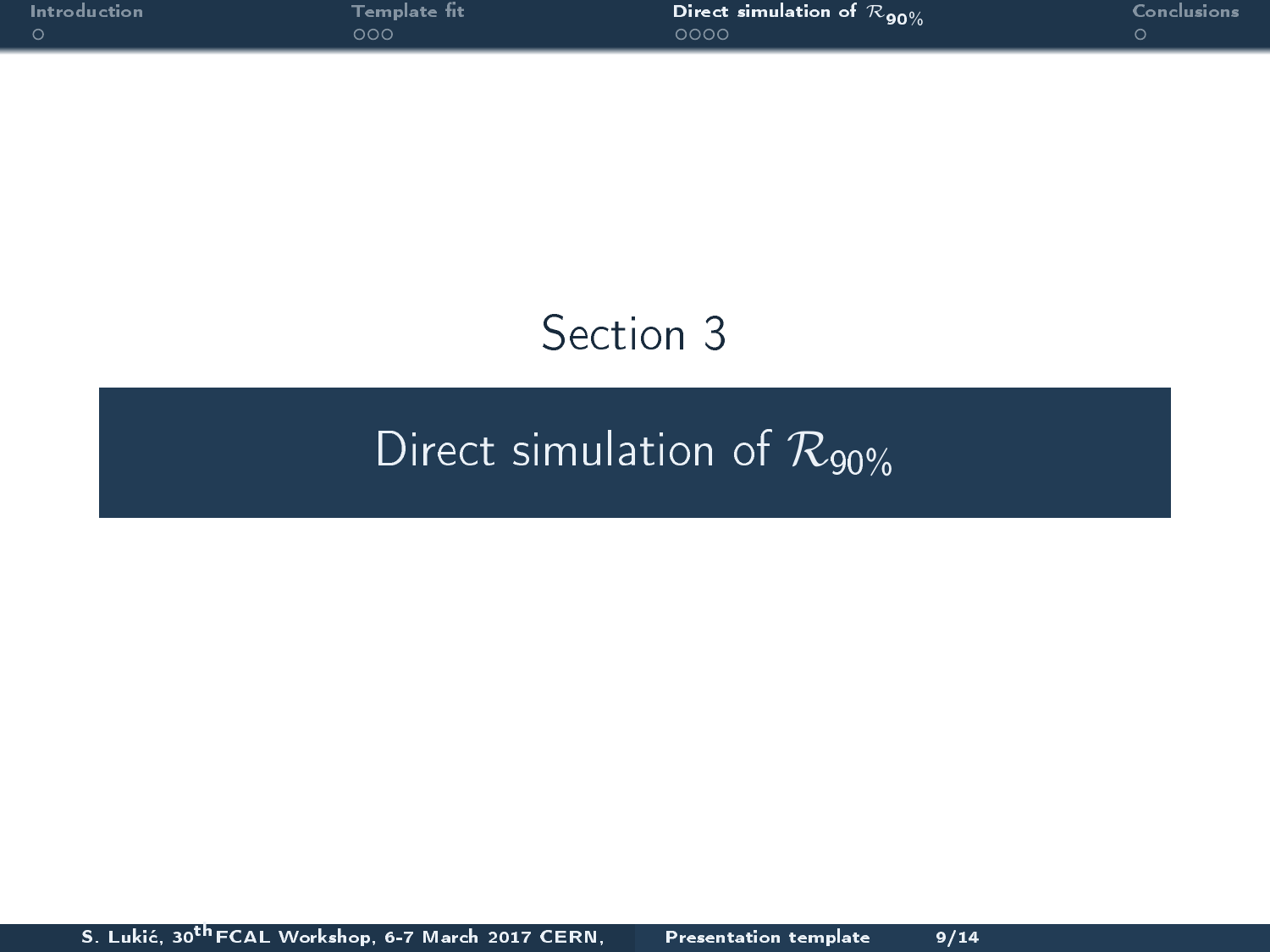|   |  | Introduction |  |  |
|---|--|--------------|--|--|
| റ |  |              |  |  |

[Introduction](#page-2-0) [Template t](#page-4-0) [Direct simulation of](#page-11-0) <sup>R</sup>90% [Conclusions](#page-16-0)

## <span id="page-11-0"></span>Section 3

## [Direct simulation of](#page-11-0)  $\mathcal{R}_{90\%}$

S. Lukić, 30<sup>th</sup> FCAL Workshop, 6-7 March 2017 CERN, [Presentation template 9/14](#page-0-0)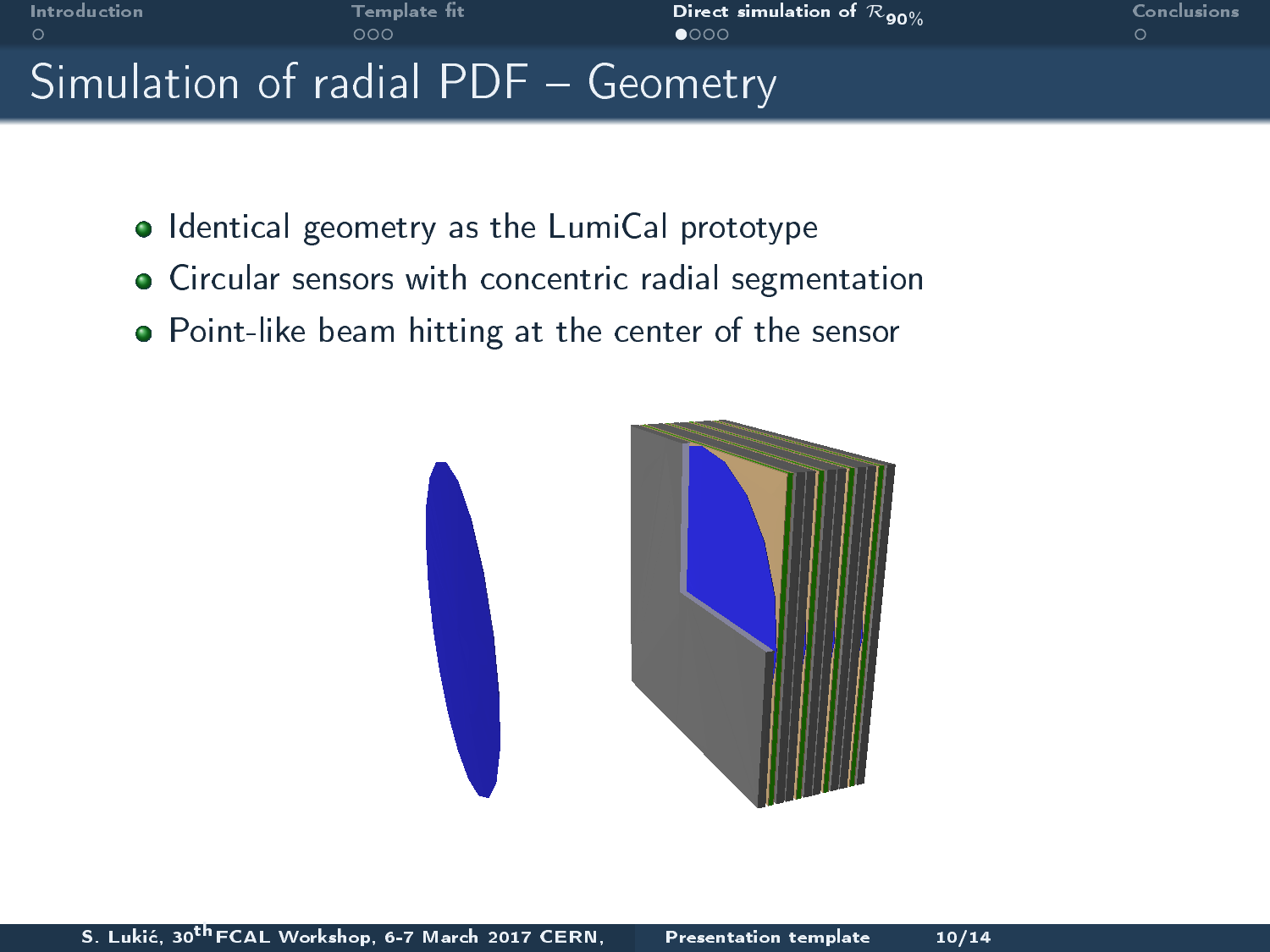

### • Identical geometry as the LumiCal prototype

- Circular sensors with concentric radial segmentation
- Point-like beam hitting at the center of the sensor

<span id="page-12-0"></span>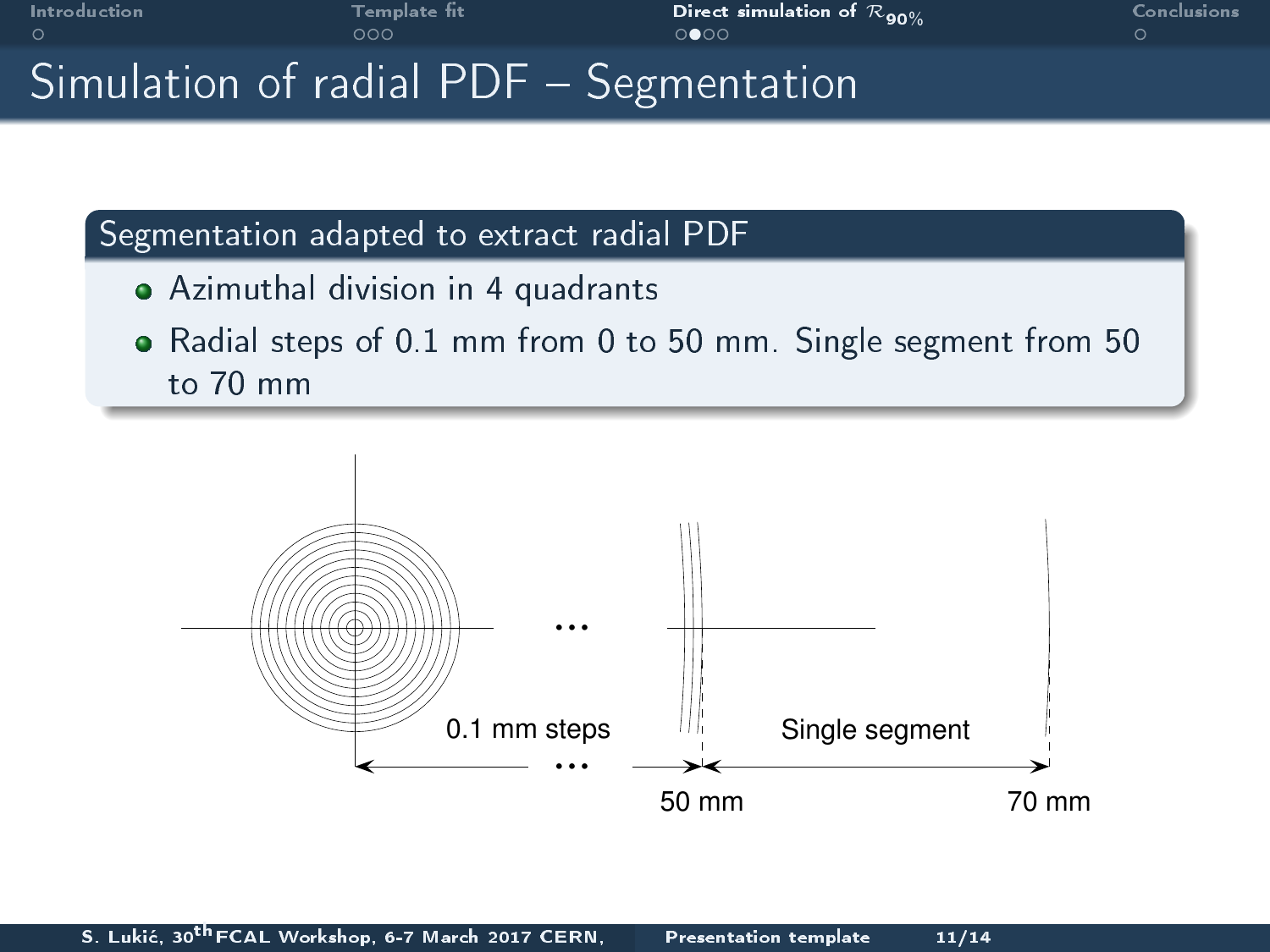

[Introduction](#page-2-0) [Template t](#page-4-0) [Direct simulation of](#page-11-0) <sup>R</sup>90% [Conclusions](#page-16-0)

<span id="page-13-0"></span>

### Simulation of radial PDF - Segmentation

#### Segmentation adapted to extract radial PDF

- Azimuthal division in 4 quadrants
- Radial steps of 0.1 mm from 0 to 50 mm. Single segment from 50 to 70 mm

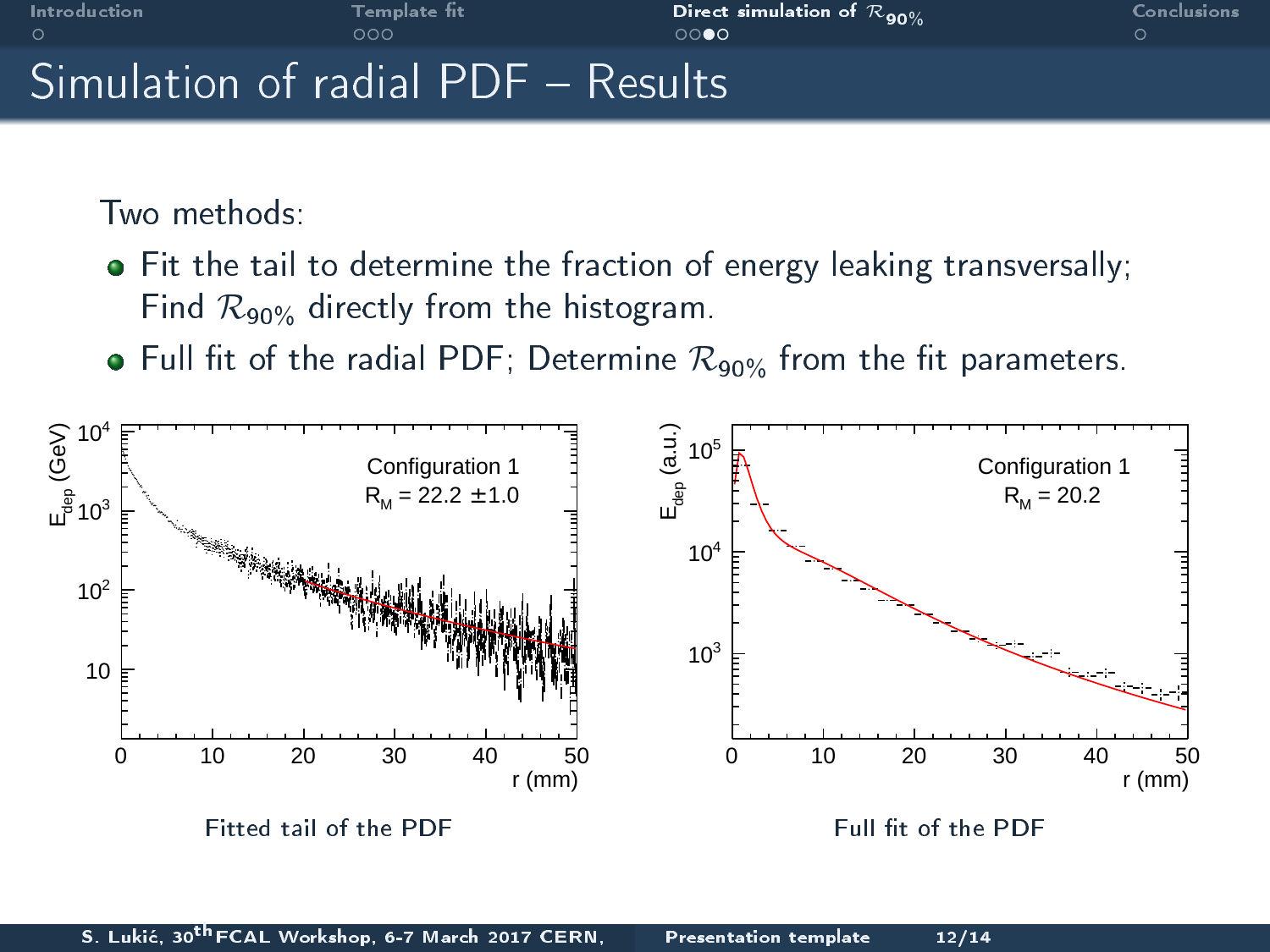

[Introduction](#page-2-0) [Template t](#page-4-0) [Direct simulation of](#page-11-0) <sup>R</sup>90% [Conclusions](#page-16-0)

<span id="page-14-0"></span>

### $Simulation$  of radial  $PDF - Results$

Two methods:

- Fit the tail to determine the fraction of energy leaking transversally; Find  $\mathcal{R}_{90\%}$  directly from the histogram.
- $\bullet$  Full fit of the radial PDF; Determine  $\mathcal{R}_{90\%}$  from the fit parameters.

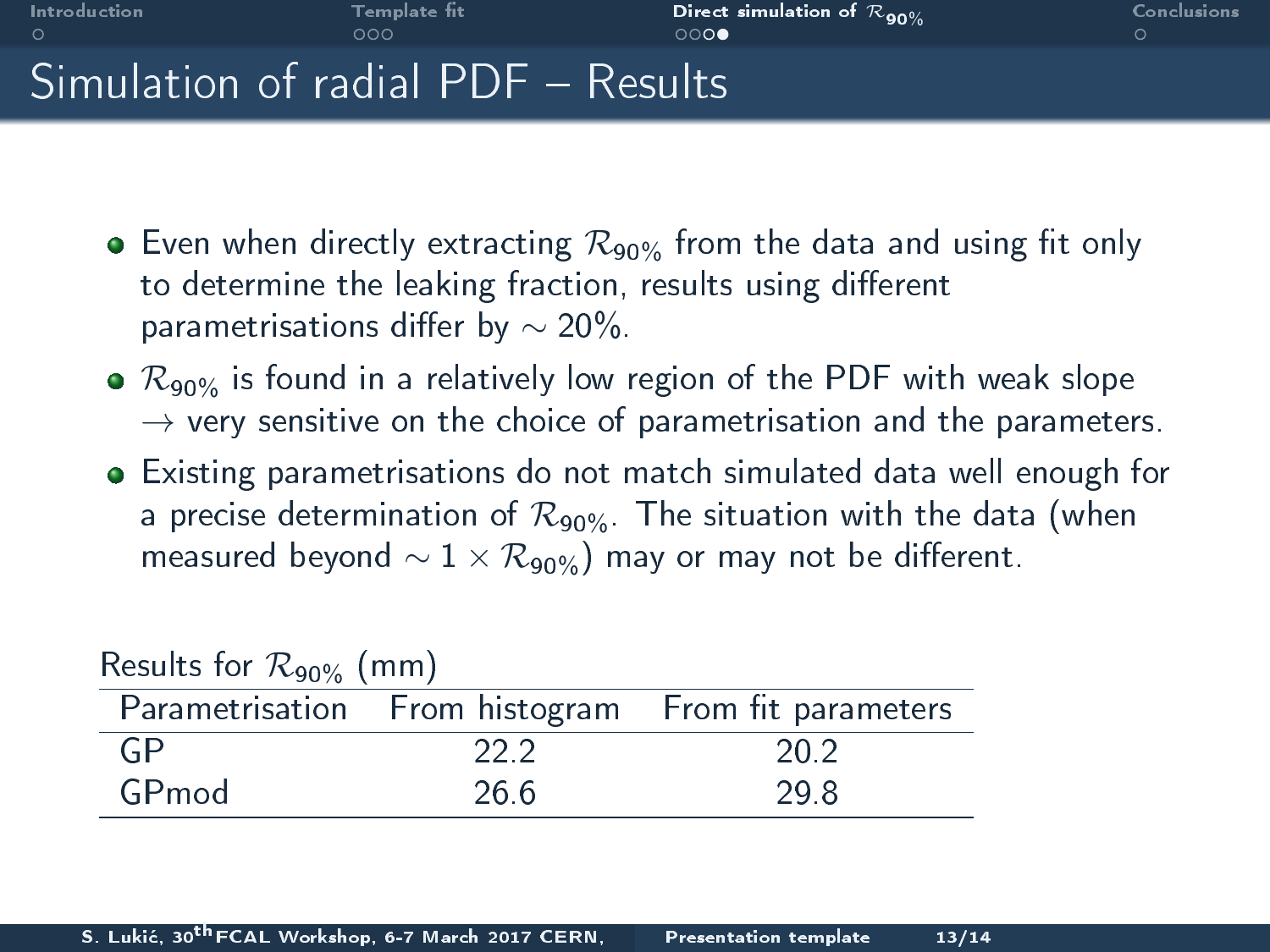

# Simulation of radial PDF - Results

- $\bullet$  Even when directly extracting  $\mathcal{R}_{90\%}$  from the data and using fit only to determine the leaking fraction, results using different parametrisations differ by  $\sim$  20%.
- $\bullet$   $\mathcal{R}_{90\%}$  is found in a relatively low region of the PDF with weak slope  $\rightarrow$  very sensitive on the choice of parametrisation and the parameters.
- Existing parametrisations do not match simulated data well enough for a precise determination of  $\mathcal{R}_{90\%}$ . The situation with the data (when measured beyond  $\sim 1 \times \mathcal{R}_{90\%}$  may or may not be different.

<span id="page-15-0"></span>

| $1.65$ and $1.61$ , $1.60$ $\frac{1}{2}$ $\frac{1}{2}$ $\frac{1}{2}$ $\frac{1}{2}$ $\frac{1}{2}$ $\frac{1}{2}$ $\frac{1}{2}$ $\frac{1}{2}$ $\frac{1}{2}$ $\frac{1}{2}$ $\frac{1}{2}$ $\frac{1}{2}$ $\frac{1}{2}$ $\frac{1}{2}$ $\frac{1}{2}$ $\frac{1}{2}$ $\frac{1}{2}$ $\frac{1}{2}$ $\frac{1}{2}$ $\frac{1$ |      |                                                    |  |  |
|----------------------------------------------------------------------------------------------------------------------------------------------------------------------------------------------------------------------------------------------------------------------------------------------------------------|------|----------------------------------------------------|--|--|
|                                                                                                                                                                                                                                                                                                                |      | Parametrisation From histogram From fit parameters |  |  |
| -GP                                                                                                                                                                                                                                                                                                            | 22.2 | 20.2                                               |  |  |
| GPmod                                                                                                                                                                                                                                                                                                          | 26.6 | 29.8                                               |  |  |

Results for  $R_{\text{00}}$  (mm)